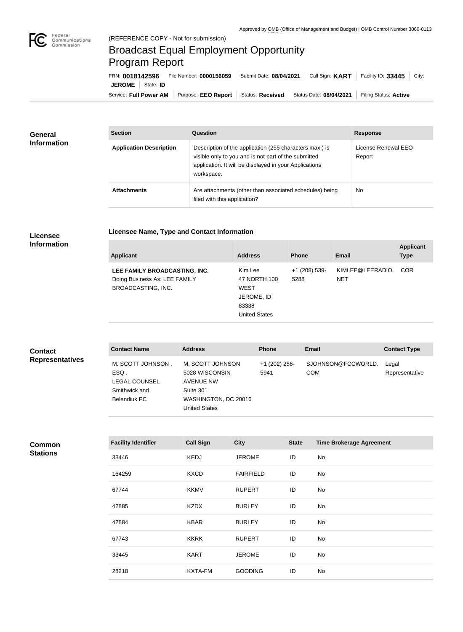

## Broadcast Equal Employment Opportunity Program Report

Service: Full Power AM | Purpose: EEO Report | Status: Received | Status Date: 08/04/2021 | Filing Status: Active **JEROME** | State: **ID** FRN: **0018142596** File Number: **0000156059** Submit Date: **08/04/2021** Call Sign: **KART** Facility ID: **33445** City:

| General<br><b>Information</b> | <b>Section</b>                 | Question                                                                                                                                                                                | <b>Response</b>               |  |
|-------------------------------|--------------------------------|-----------------------------------------------------------------------------------------------------------------------------------------------------------------------------------------|-------------------------------|--|
|                               | <b>Application Description</b> | Description of the application (255 characters max.) is<br>visible only to you and is not part of the submitted<br>application. It will be displayed in your Applications<br>workspace. | License Renewal EEO<br>Report |  |
|                               | <b>Attachments</b>             | Are attachments (other than associated schedules) being<br>filed with this application?                                                                                                 | <b>No</b>                     |  |

## **Licensee Information**

|  | Licensee Name, Type and Contact Information |
|--|---------------------------------------------|
|--|---------------------------------------------|

| <b>Applicant</b>                                                                            | <b>Address</b>                                                                        | <b>Phone</b>          | Email                          | <b>Applicant</b><br><b>Type</b> |
|---------------------------------------------------------------------------------------------|---------------------------------------------------------------------------------------|-----------------------|--------------------------------|---------------------------------|
| LEE FAMILY BROADCASTING, INC.<br>Doing Business As: LEE FAMILY<br><b>BROADCASTING, INC.</b> | Kim Lee<br>47 NORTH 100<br><b>WEST</b><br>JEROME, ID<br>83338<br><b>United States</b> | +1 (208) 539-<br>5288 | KIMLEE@LEERADIO.<br><b>NET</b> | <b>COR</b>                      |

| <b>Contact</b>         | <b>Contact Name</b>                                                                | <b>Address</b>                                                                                                      | <b>Phone</b>          | <b>Email</b>                     | <b>Contact Type</b>     |
|------------------------|------------------------------------------------------------------------------------|---------------------------------------------------------------------------------------------------------------------|-----------------------|----------------------------------|-------------------------|
| <b>Representatives</b> | M. SCOTT JOHNSON,<br>ESQ.<br><b>LEGAL COUNSEL</b><br>Smithwick and<br>Belendiuk PC | M. SCOTT JOHNSON<br>5028 WISCONSIN<br><b>AVENUE NW</b><br>Suite 301<br>WASHINGTON, DC 20016<br><b>United States</b> | +1 (202) 256-<br>5941 | SJOHNSON@FCCWORLD.<br><b>COM</b> | Legal<br>Representative |

| Common          |  |
|-----------------|--|
| <b>Stations</b> |  |

| <b>Facility Identifier</b> | <b>Call Sign</b> | <b>City</b>      | <b>State</b> | <b>Time Brokerage Agreement</b> |
|----------------------------|------------------|------------------|--------------|---------------------------------|
| 33446                      | <b>KEDJ</b>      | <b>JEROME</b>    | ID           | No                              |
| 164259                     | <b>KXCD</b>      | <b>FAIRFIELD</b> | ID           | No                              |
| 67744                      | <b>KKMV</b>      | <b>RUPERT</b>    | ID           | No                              |
| 42885                      | <b>KZDX</b>      | <b>BURLEY</b>    | ID           | No                              |
| 42884                      | <b>KBAR</b>      | <b>BURLEY</b>    | ID           | No                              |
| 67743                      | <b>KKRK</b>      | <b>RUPERT</b>    | ID           | No                              |
| 33445                      | <b>KART</b>      | <b>JEROME</b>    | ID           | No                              |
| 28218                      | <b>KXTA-FM</b>   | <b>GOODING</b>   | ID           | No                              |